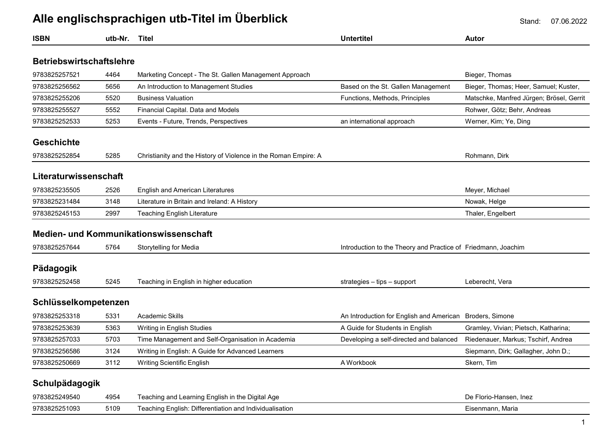## **Alle englischsprachigen utb-Titel im Überblic k**

**K** Stand: 07.06.2022

| <b>Betriebswirtschaftslehre</b><br>9783825257521<br>4464<br>Bieger, Thomas<br>Marketing Concept - The St. Gallen Management Approach<br>9783825256562<br>An Introduction to Management Studies<br>Based on the St. Gallen Management<br>Bieger, Thomas; Heer, Samuel; Kuster,<br>5656<br>5520<br><b>Business Valuation</b><br>Functions, Methods, Principles<br>Matschke, Manfred Jürgen; Brösel, Gerrit<br>9783825255206<br>9783825255527<br>5552<br>Financial Capital. Data and Models<br>Rohwer, Götz; Behr, Andreas<br>Events - Future, Trends, Perspectives<br>Werner, Kim; Ye, Ding<br>9783825252533<br>5253<br>an international approach<br><b>Geschichte</b><br>9783825252854<br>5285<br>Christianity and the History of Violence in the Roman Empire: A<br>Rohmann, Dirk<br>Literaturwissenschaft<br>2526<br>9783825235505<br>English and American Literatures<br>Meyer, Michael<br>9783825231484<br>3148<br>Literature in Britain and Ireland: A History<br>Nowak, Helge<br>Teaching English Literature<br>Thaler, Engelbert<br>9783825245153<br>2997<br>Medien- und Kommunikationswissenschaft<br>Introduction to the Theory and Practice of Friedmann, Joachim<br>9783825257644<br>5764<br>Storytelling for Media<br>Pädagogik<br>5245<br>9783825252458<br>Teaching in English in higher education<br>strategies - tips - support<br>Leberecht, Vera<br>Schlüsselkompetenzen<br>Academic Skills<br>An Introduction for English and American Broders, Simone<br>9783825253318<br>5331<br>5363<br>9783825253639<br>Writing in English Studies<br>A Guide for Students in English<br>Gramley, Vivian; Pietsch, Katharina;<br>Time Management and Self-Organisation in Academia<br>Riedenauer, Markus; Tschirf, Andrea<br>9783825257033<br>5703<br>Developing a self-directed and balanced<br>3124<br>Writing in English: A Guide for Advanced Learners<br>9783825256586<br>Siepmann, Dirk; Gallagher, John D.;<br>3112<br><b>Writing Scientific English</b><br>A Workbook<br>Skern, Tim<br>9783825250669<br>Schulpädagogik<br>9783825249540<br>4954<br>Teaching and Learning English in the Digital Age<br>De Florio-Hansen, Inez<br>Teaching English: Differentiation and Individualisation<br>Eisenmann, Maria<br>9783825251093<br>5109 | <b>ISBN</b> | utb-Nr. | Titel | <b>Untertitel</b> | Autor |
|----------------------------------------------------------------------------------------------------------------------------------------------------------------------------------------------------------------------------------------------------------------------------------------------------------------------------------------------------------------------------------------------------------------------------------------------------------------------------------------------------------------------------------------------------------------------------------------------------------------------------------------------------------------------------------------------------------------------------------------------------------------------------------------------------------------------------------------------------------------------------------------------------------------------------------------------------------------------------------------------------------------------------------------------------------------------------------------------------------------------------------------------------------------------------------------------------------------------------------------------------------------------------------------------------------------------------------------------------------------------------------------------------------------------------------------------------------------------------------------------------------------------------------------------------------------------------------------------------------------------------------------------------------------------------------------------------------------------------------------------------------------------------------------------------------------------------------------------------------------------------------------------------------------------------------------------------------------------------------------------------------------------------------------------------------------------------------------------------------------------------------------------------------------------------------------------------------------------------------------------------|-------------|---------|-------|-------------------|-------|
|                                                                                                                                                                                                                                                                                                                                                                                                                                                                                                                                                                                                                                                                                                                                                                                                                                                                                                                                                                                                                                                                                                                                                                                                                                                                                                                                                                                                                                                                                                                                                                                                                                                                                                                                                                                                                                                                                                                                                                                                                                                                                                                                                                                                                                                    |             |         |       |                   |       |
|                                                                                                                                                                                                                                                                                                                                                                                                                                                                                                                                                                                                                                                                                                                                                                                                                                                                                                                                                                                                                                                                                                                                                                                                                                                                                                                                                                                                                                                                                                                                                                                                                                                                                                                                                                                                                                                                                                                                                                                                                                                                                                                                                                                                                                                    |             |         |       |                   |       |
|                                                                                                                                                                                                                                                                                                                                                                                                                                                                                                                                                                                                                                                                                                                                                                                                                                                                                                                                                                                                                                                                                                                                                                                                                                                                                                                                                                                                                                                                                                                                                                                                                                                                                                                                                                                                                                                                                                                                                                                                                                                                                                                                                                                                                                                    |             |         |       |                   |       |
|                                                                                                                                                                                                                                                                                                                                                                                                                                                                                                                                                                                                                                                                                                                                                                                                                                                                                                                                                                                                                                                                                                                                                                                                                                                                                                                                                                                                                                                                                                                                                                                                                                                                                                                                                                                                                                                                                                                                                                                                                                                                                                                                                                                                                                                    |             |         |       |                   |       |
|                                                                                                                                                                                                                                                                                                                                                                                                                                                                                                                                                                                                                                                                                                                                                                                                                                                                                                                                                                                                                                                                                                                                                                                                                                                                                                                                                                                                                                                                                                                                                                                                                                                                                                                                                                                                                                                                                                                                                                                                                                                                                                                                                                                                                                                    |             |         |       |                   |       |
|                                                                                                                                                                                                                                                                                                                                                                                                                                                                                                                                                                                                                                                                                                                                                                                                                                                                                                                                                                                                                                                                                                                                                                                                                                                                                                                                                                                                                                                                                                                                                                                                                                                                                                                                                                                                                                                                                                                                                                                                                                                                                                                                                                                                                                                    |             |         |       |                   |       |
|                                                                                                                                                                                                                                                                                                                                                                                                                                                                                                                                                                                                                                                                                                                                                                                                                                                                                                                                                                                                                                                                                                                                                                                                                                                                                                                                                                                                                                                                                                                                                                                                                                                                                                                                                                                                                                                                                                                                                                                                                                                                                                                                                                                                                                                    |             |         |       |                   |       |
|                                                                                                                                                                                                                                                                                                                                                                                                                                                                                                                                                                                                                                                                                                                                                                                                                                                                                                                                                                                                                                                                                                                                                                                                                                                                                                                                                                                                                                                                                                                                                                                                                                                                                                                                                                                                                                                                                                                                                                                                                                                                                                                                                                                                                                                    |             |         |       |                   |       |
|                                                                                                                                                                                                                                                                                                                                                                                                                                                                                                                                                                                                                                                                                                                                                                                                                                                                                                                                                                                                                                                                                                                                                                                                                                                                                                                                                                                                                                                                                                                                                                                                                                                                                                                                                                                                                                                                                                                                                                                                                                                                                                                                                                                                                                                    |             |         |       |                   |       |
|                                                                                                                                                                                                                                                                                                                                                                                                                                                                                                                                                                                                                                                                                                                                                                                                                                                                                                                                                                                                                                                                                                                                                                                                                                                                                                                                                                                                                                                                                                                                                                                                                                                                                                                                                                                                                                                                                                                                                                                                                                                                                                                                                                                                                                                    |             |         |       |                   |       |
|                                                                                                                                                                                                                                                                                                                                                                                                                                                                                                                                                                                                                                                                                                                                                                                                                                                                                                                                                                                                                                                                                                                                                                                                                                                                                                                                                                                                                                                                                                                                                                                                                                                                                                                                                                                                                                                                                                                                                                                                                                                                                                                                                                                                                                                    |             |         |       |                   |       |
|                                                                                                                                                                                                                                                                                                                                                                                                                                                                                                                                                                                                                                                                                                                                                                                                                                                                                                                                                                                                                                                                                                                                                                                                                                                                                                                                                                                                                                                                                                                                                                                                                                                                                                                                                                                                                                                                                                                                                                                                                                                                                                                                                                                                                                                    |             |         |       |                   |       |
|                                                                                                                                                                                                                                                                                                                                                                                                                                                                                                                                                                                                                                                                                                                                                                                                                                                                                                                                                                                                                                                                                                                                                                                                                                                                                                                                                                                                                                                                                                                                                                                                                                                                                                                                                                                                                                                                                                                                                                                                                                                                                                                                                                                                                                                    |             |         |       |                   |       |
|                                                                                                                                                                                                                                                                                                                                                                                                                                                                                                                                                                                                                                                                                                                                                                                                                                                                                                                                                                                                                                                                                                                                                                                                                                                                                                                                                                                                                                                                                                                                                                                                                                                                                                                                                                                                                                                                                                                                                                                                                                                                                                                                                                                                                                                    |             |         |       |                   |       |
|                                                                                                                                                                                                                                                                                                                                                                                                                                                                                                                                                                                                                                                                                                                                                                                                                                                                                                                                                                                                                                                                                                                                                                                                                                                                                                                                                                                                                                                                                                                                                                                                                                                                                                                                                                                                                                                                                                                                                                                                                                                                                                                                                                                                                                                    |             |         |       |                   |       |
|                                                                                                                                                                                                                                                                                                                                                                                                                                                                                                                                                                                                                                                                                                                                                                                                                                                                                                                                                                                                                                                                                                                                                                                                                                                                                                                                                                                                                                                                                                                                                                                                                                                                                                                                                                                                                                                                                                                                                                                                                                                                                                                                                                                                                                                    |             |         |       |                   |       |
|                                                                                                                                                                                                                                                                                                                                                                                                                                                                                                                                                                                                                                                                                                                                                                                                                                                                                                                                                                                                                                                                                                                                                                                                                                                                                                                                                                                                                                                                                                                                                                                                                                                                                                                                                                                                                                                                                                                                                                                                                                                                                                                                                                                                                                                    |             |         |       |                   |       |
|                                                                                                                                                                                                                                                                                                                                                                                                                                                                                                                                                                                                                                                                                                                                                                                                                                                                                                                                                                                                                                                                                                                                                                                                                                                                                                                                                                                                                                                                                                                                                                                                                                                                                                                                                                                                                                                                                                                                                                                                                                                                                                                                                                                                                                                    |             |         |       |                   |       |
|                                                                                                                                                                                                                                                                                                                                                                                                                                                                                                                                                                                                                                                                                                                                                                                                                                                                                                                                                                                                                                                                                                                                                                                                                                                                                                                                                                                                                                                                                                                                                                                                                                                                                                                                                                                                                                                                                                                                                                                                                                                                                                                                                                                                                                                    |             |         |       |                   |       |
|                                                                                                                                                                                                                                                                                                                                                                                                                                                                                                                                                                                                                                                                                                                                                                                                                                                                                                                                                                                                                                                                                                                                                                                                                                                                                                                                                                                                                                                                                                                                                                                                                                                                                                                                                                                                                                                                                                                                                                                                                                                                                                                                                                                                                                                    |             |         |       |                   |       |
|                                                                                                                                                                                                                                                                                                                                                                                                                                                                                                                                                                                                                                                                                                                                                                                                                                                                                                                                                                                                                                                                                                                                                                                                                                                                                                                                                                                                                                                                                                                                                                                                                                                                                                                                                                                                                                                                                                                                                                                                                                                                                                                                                                                                                                                    |             |         |       |                   |       |
|                                                                                                                                                                                                                                                                                                                                                                                                                                                                                                                                                                                                                                                                                                                                                                                                                                                                                                                                                                                                                                                                                                                                                                                                                                                                                                                                                                                                                                                                                                                                                                                                                                                                                                                                                                                                                                                                                                                                                                                                                                                                                                                                                                                                                                                    |             |         |       |                   |       |
|                                                                                                                                                                                                                                                                                                                                                                                                                                                                                                                                                                                                                                                                                                                                                                                                                                                                                                                                                                                                                                                                                                                                                                                                                                                                                                                                                                                                                                                                                                                                                                                                                                                                                                                                                                                                                                                                                                                                                                                                                                                                                                                                                                                                                                                    |             |         |       |                   |       |
|                                                                                                                                                                                                                                                                                                                                                                                                                                                                                                                                                                                                                                                                                                                                                                                                                                                                                                                                                                                                                                                                                                                                                                                                                                                                                                                                                                                                                                                                                                                                                                                                                                                                                                                                                                                                                                                                                                                                                                                                                                                                                                                                                                                                                                                    |             |         |       |                   |       |
|                                                                                                                                                                                                                                                                                                                                                                                                                                                                                                                                                                                                                                                                                                                                                                                                                                                                                                                                                                                                                                                                                                                                                                                                                                                                                                                                                                                                                                                                                                                                                                                                                                                                                                                                                                                                                                                                                                                                                                                                                                                                                                                                                                                                                                                    |             |         |       |                   |       |